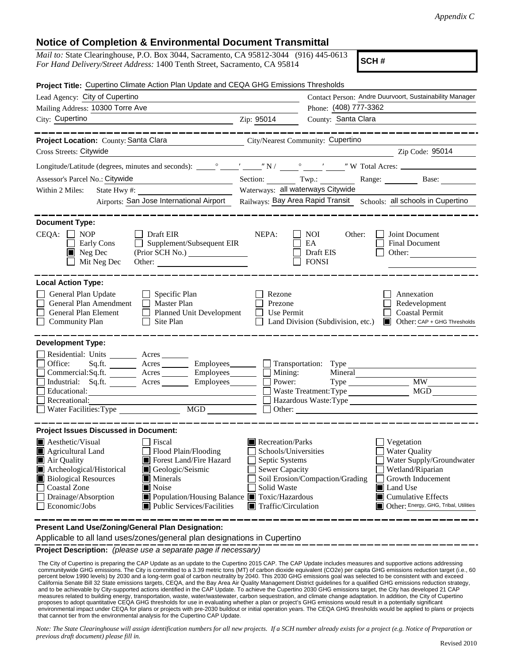## **Notice of Completion & Environmental Document Transmittal**

| <i>Mail to:</i> State Clearinghouse, P.O. Box 3044, Sacramento, CA 95812-3044 (916) 445-0613 |  |  |  |  |  |
|----------------------------------------------------------------------------------------------|--|--|--|--|--|
| For Hand Delivery/Street Address: 1400 Tenth Street, Sacramento, CA 95814                    |  |  |  |  |  |

**SCH #**

| Project Title: Cupertino Climate Action Plan Update and CEQA GHG Emissions Thresholds                                                                                                    |                                                                                                                                                                            |  |  |  |
|------------------------------------------------------------------------------------------------------------------------------------------------------------------------------------------|----------------------------------------------------------------------------------------------------------------------------------------------------------------------------|--|--|--|
| Lead Agency: City of Cupertino                                                                                                                                                           | Contact Person: Andre Duurvoort, Sustainability Manager                                                                                                                    |  |  |  |
| Mailing Address: 10300 Torre Ave                                                                                                                                                         | Phone: (408) 777-3362                                                                                                                                                      |  |  |  |
| City: Cupertino<br><u> 1989 - Johann Stein, mars an de Frankrik (f. 1989)</u>                                                                                                            | County: Santa Clara<br>Zip: 95014                                                                                                                                          |  |  |  |
| . __ __ __ __ __ __ __                                                                                                                                                                   |                                                                                                                                                                            |  |  |  |
| Project Location: County: Santa Clara                                                                                                                                                    | City/Nearest Community: Cupertino                                                                                                                                          |  |  |  |
| Cross Streets: Citywide                                                                                                                                                                  | Zip Code: 95014<br><u> 1989 - Johann Barbara, martin amerikan basar dan basa dan basa dan basa dalam basa dalam basa dalam basa dala</u>                                   |  |  |  |
|                                                                                                                                                                                          |                                                                                                                                                                            |  |  |  |
| Assessor's Parcel No.: Citywide                                                                                                                                                          | Section: Twp.: Range: Base:                                                                                                                                                |  |  |  |
| Within 2 Miles:<br>State Hwy#:<br><u> 1989 - Johann Barbara, martxa alemani</u> ar                                                                                                       | Waterways: all waterways Citywide                                                                                                                                          |  |  |  |
|                                                                                                                                                                                          | Airports: San Jose International Airport Railways: Bay Area Rapid Transit Schools: all schools in Cupertino                                                                |  |  |  |
| <b>Document Type:</b><br>$CEQA: \Box NP$<br>$\Box$ Draft EIR                                                                                                                             | NEPA:<br>Joint Document<br>NOI<br>Other:                                                                                                                                   |  |  |  |
| $\Box$ Supplement/Subsequent EIR<br>Early Cons<br>$\blacksquare$ Neg Dec<br>(Prior SCH No.)                                                                                              | EA<br><b>Final Document</b><br>Draft EIS<br>Other:                                                                                                                         |  |  |  |
| Mit Neg Dec<br>Other:                                                                                                                                                                    | <b>FONSI</b>                                                                                                                                                               |  |  |  |
| <b>Local Action Type:</b>                                                                                                                                                                |                                                                                                                                                                            |  |  |  |
| General Plan Update<br>$\Box$ Specific Plan<br>General Plan Amendment<br>Master Plan<br>General Plan Element<br>Planned Unit Development<br><b>Community Plan</b><br>Site Plan<br>$\Box$ | Rezone<br>Annexation<br>Prezone<br>Redevelopment<br>Use Permit<br><b>Coastal Permit</b><br>$\mathbf{L}$<br>Land Division (Subdivision, etc.) ■ Other: CAP + GHG Thresholds |  |  |  |
| <b>Development Type:</b>                                                                                                                                                                 |                                                                                                                                                                            |  |  |  |
| Residential: Units ________ Acres _______<br>Sq.ft. ________ Acres _________ Employees ________ __ Transportation: Type<br>Office:                                                       |                                                                                                                                                                            |  |  |  |
| Commercial:Sq.ft. ________ Acres __________ Employees_________ $\Box$                                                                                                                    | Mining:<br>Mineral                                                                                                                                                         |  |  |  |
| Industrial: Sq.ft. _______ Acres _______ Employees_______                                                                                                                                | <b>MW</b><br>Power:                                                                                                                                                        |  |  |  |
| Educational:                                                                                                                                                                             | <b>MGD</b><br>Waste Treatment: Type                                                                                                                                        |  |  |  |
| Recreational:                                                                                                                                                                            | Hazardous Waste:Type                                                                                                                                                       |  |  |  |
|                                                                                                                                                                                          | $\Box$ Other:                                                                                                                                                              |  |  |  |
| <b>Project Issues Discussed in Document:</b>                                                                                                                                             |                                                                                                                                                                            |  |  |  |
| Aesthetic/Visual<br><b>Fiscal</b>                                                                                                                                                        | Recreation/Parks<br>Vegetation                                                                                                                                             |  |  |  |
| $\Box$ Flood Plain/Flooding<br>Agricultural Land                                                                                                                                         | <b>Water Quality</b><br>Schools/Universities                                                                                                                               |  |  |  |
| Forest Land/Fire Hazard<br>Air Quality                                                                                                                                                   | Water Supply/Groundwater<br>Septic Systems                                                                                                                                 |  |  |  |
| Geologic/Seismic<br>Archeological/Historical                                                                                                                                             | Sewer Capacity<br>Wetland/Riparian                                                                                                                                         |  |  |  |
| <b>Biological Resources</b><br>Minerals                                                                                                                                                  | Soil Erosion/Compaction/Grading<br>Growth Inducement                                                                                                                       |  |  |  |
| Coastal Zone<br><b>■</b> Noise                                                                                                                                                           | Land Use<br>Solid Waste                                                                                                                                                    |  |  |  |
| Drainage/Absorption<br>Population/Housing Balance Toxic/Hazardous<br>Public Services/Facilities<br>Economic/Jobs                                                                         | Cumulative Effects<br>Other: Energy, GHG, Tribal, Utilities<br>$\blacksquare$ Traffic/Circulation                                                                          |  |  |  |
| Present Land Use/Zoning/General Plan Designation:                                                                                                                                        |                                                                                                                                                                            |  |  |  |

Applicable to all land uses/zones/general plan designations in Cupertino

**Project Description:** *(please use a separate page if necessary)*

 The City of Cupertino is preparing the CAP Update as an update to the Cupertino 2015 CAP. The CAP Update includes measures and supportive actions addressing communitywide GHG emissions. The City is committed to a 3.39 metric tons (MT) of carbon dioxide equivalent (CO2e) per capita GHG emissions reduction target (i.e., 60<br>percent below 1990 levels) by 2030 and a long-term goal and to be achievable by City-supported actions identified in the CAP Update. To achieve the Cupertino 2030 GHG emissions target, the City has developed 21 CAP measures related to building energy, transportation, waste, water/wastewater, carbon sequestration, and climate change adaptation. In addition, the City of Cupertino<br>proposes to adopt quantitative CEQA GHG thresholds for u environmental impact under CEQA for plans or projects with pre-2030 buildout or initial operation years. The CEQA GHG thresholds would be applied to plans or projects that cannot tier from the environmental analysis for the Cupertino CAP Update.

*Note: The State Clearinghouse will assign identification numbers for all new projects. If a SCH number already exists for a project (e.g. Notice of Preparation or previous draft document) please fill in.*